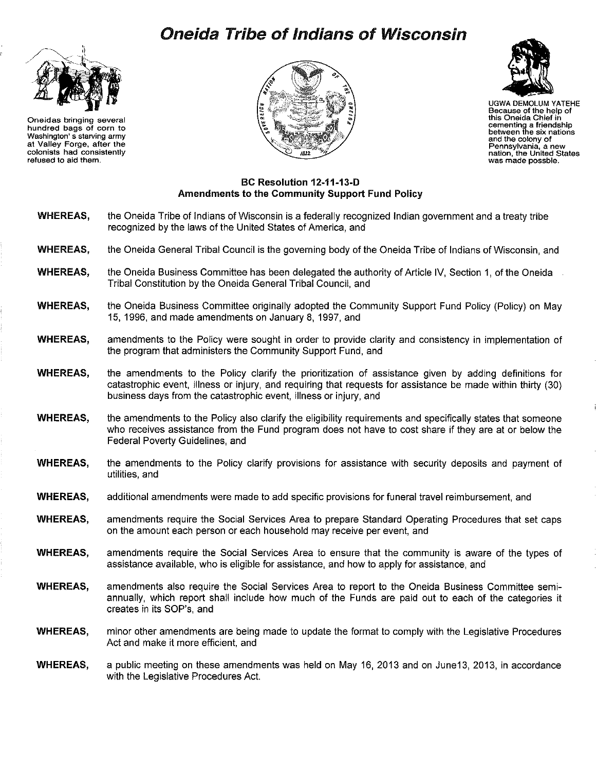## **Oneida Tribe of Indians of Wisconsin**



**Oneidas bringing several hundred bags of corn to Washington' s starving army at Valley Forge, after the colonists had consistently refused to aid them.** 





UGWA DEMOLUM YATEHE **Because of the help of this Oneida Chief in cementing a friendship between the six nations and the colony of**  nation, the United States<br>was made possble.

## **BC Resolution 12-11-13-D Amendments to the Community Support Fund Policy**

- **WHEREAS, WHEREAS, WHEREAS, WHEREAS, WHEREAS,**  the Oneida Tribe of Indians of Wisconsin is a federally recognized Indian government and a treaty tribe recognized by the laws of the United States of America, and the Oneida General Tribal Council is the governing body of the Oneida Tribe of Indians of Wisconsin, and the Oneida Business Committee has been delegated the authority of Article IV, Section 1, of the Oneida Tribal Constitution by the Oneida General Tribal Council, and the Oneida Business Committee originally adopted the Community Support Fund Policy (Policy) on May 15, 1996, and made amendments on January 8, 1997, and amendments to the Policy were sought in order to provide clarity and consistency in implementation of the program that administers the Community Support Fund, and
- **WHEREAS,**  the amendments to the Policy clarify the prioritization of assistance given by adding definitions for catastrophic event, illness or injury, and requiring that requests for assistance be made within thirty (30) business days from the catastrophic event, illness or injury, and
- **WHEREAS,**  the amendments to the Policy also clarify the eligibility requirements and specifically states that someone who receives assistance from the Fund program does not have to cost share if they are at or below the Federal Poverty Guidelines, and
- **WHEREAS,**  the amendments to the Policy clarify provisions for assistance with security deposits and payment of utilities, and
- **WHEREAS,**  additional amendments were made to add specific provisions for funeral travel reimbursement, and
- **WHEREAS,**  amendments require the Social Services Area to prepare Standard Operating Procedures that set caps on the amount each person or each household may receive per event, and
- **WHEREAS,**  amendments require the Social Services Area to ensure that the community is aware of the types of assistance available, who is eligible for assistance, and how to apply for assistance, and
- **WHEREAS,**  amendments also require the Social Services Area to report to the Oneida Business Committee semiannually, which report shall include how much of the Funds are paid out to each of the categories it creates in its SOP's, and
- **WHEREAS,**  minor other amendments are being made to update the format to comply with the Legislative Procedures Act and make it more efficient, and
- **WHEREAS,**  a public meeting on these amendments was held on May 16, 2013 and on June13, 2013, in accordance with the Legislative Procedures Act.